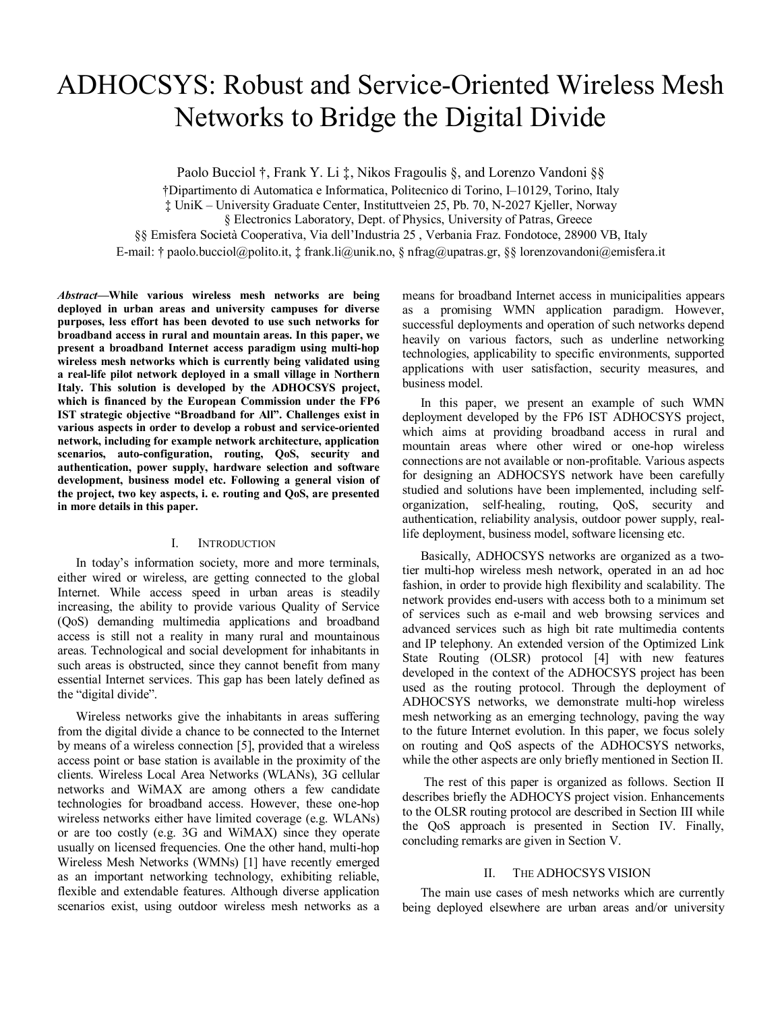# ADHOCSYS: Robust and Service-Oriented Wireless Mesh Networks to Bridge the Digital Divide

Paolo Bucciol †, Frank Y. Li ‡, Nikos Fragoulis §, and Lorenzo Vandoni §§

†Dipartimento di Automatica e Informatica, Politecnico di Torino, I–10129, Torino, Italy

‡ UniK – University Graduate Center, Instituttveien 25, Pb. 70, N-2027 Kjeller, Norway

§ Electronics Laboratory, Dept. of Physics, University of Patras, Greece

§§ Emisfera Società Cooperativa, Via dell'Industria 25 , Verbania Fraz. Fondotoce, 28900 VB, Italy

E-mail: † paolo.bucciol@polito.it, ‡ frank.li@unik.no, § nfrag@upatras.gr, §§ lorenzovandoni@emisfera.it

*Abstract***—While various wireless mesh networks are being deployed in urban areas and university campuses for diverse purposes, less effort has been devoted to use such networks for broadband access in rural and mountain areas. In this paper, we present a broadband Internet access paradigm using multi-hop wireless mesh networks which is currently being validated using a real-life pilot network deployed in a small village in Northern Italy. This solution is developed by the ADHOCSYS project, which is financed by the European Commission under the FP6 IST strategic objective "Broadband for All". Challenges exist in various aspects in order to develop a robust and service-oriented network, including for example network architecture, application scenarios, auto-configuration, routing, QoS, security and authentication, power supply, hardware selection and software development, business model etc. Following a general vision of the project, two key aspects, i. e. routing and QoS, are presented in more details in this paper.** 

#### I. INTRODUCTION

In today's information society, more and more terminals, either wired or wireless, are getting connected to the global Internet. While access speed in urban areas is steadily increasing, the ability to provide various Quality of Service (QoS) demanding multimedia applications and broadband access is still not a reality in many rural and mountainous areas. Technological and social development for inhabitants in such areas is obstructed, since they cannot benefit from many essential Internet services. This gap has been lately defined as the "digital divide".

Wireless networks give the inhabitants in areas suffering from the digital divide a chance to be connected to the Internet by means of a wireless connection [5], provided that a wireless access point or base station is available in the proximity of the clients. Wireless Local Area Networks (WLANs), 3G cellular networks and WiMAX are among others a few candidate technologies for broadband access. However, these one-hop wireless networks either have limited coverage (e.g. WLANs) or are too costly (e.g. 3G and WiMAX) since they operate usually on licensed frequencies. One the other hand, multi-hop Wireless Mesh Networks (WMNs) [1] have recently emerged as an important networking technology, exhibiting reliable, flexible and extendable features. Although diverse application scenarios exist, using outdoor wireless mesh networks as a

means for broadband Internet access in municipalities appears as a promising WMN application paradigm. However, successful deployments and operation of such networks depend heavily on various factors, such as underline networking technologies, applicability to specific environments, supported applications with user satisfaction, security measures, and business model.

In this paper, we present an example of such WMN deployment developed by the FP6 IST ADHOCSYS project, which aims at providing broadband access in rural and mountain areas where other wired or one-hop wireless connections are not available or non-profitable. Various aspects for designing an ADHOCSYS network have been carefully studied and solutions have been implemented, including selforganization, self-healing, routing, QoS, security and authentication, reliability analysis, outdoor power supply, reallife deployment, business model, software licensing etc.

Basically, ADHOCSYS networks are organized as a twotier multi-hop wireless mesh network, operated in an ad hoc fashion, in order to provide high flexibility and scalability. The network provides end-users with access both to a minimum set of services such as e-mail and web browsing services and advanced services such as high bit rate multimedia contents and IP telephony. An extended version of the Optimized Link State Routing (OLSR) protocol [4] with new features developed in the context of the ADHOCSYS project has been used as the routing protocol. Through the deployment of ADHOCSYS networks, we demonstrate multi-hop wireless mesh networking as an emerging technology, paving the way to the future Internet evolution. In this paper, we focus solely on routing and QoS aspects of the ADHOCSYS networks, while the other aspects are only briefly mentioned in Section II.

 The rest of this paper is organized as follows. Section II describes briefly the ADHOCYS project vision. Enhancements to the OLSR routing protocol are described in Section III while the QoS approach is presented in Section IV. Finally, concluding remarks are given in Section V.

### II. THE ADHOCSYS VISION

The main use cases of mesh networks which are currently being deployed elsewhere are urban areas and/or university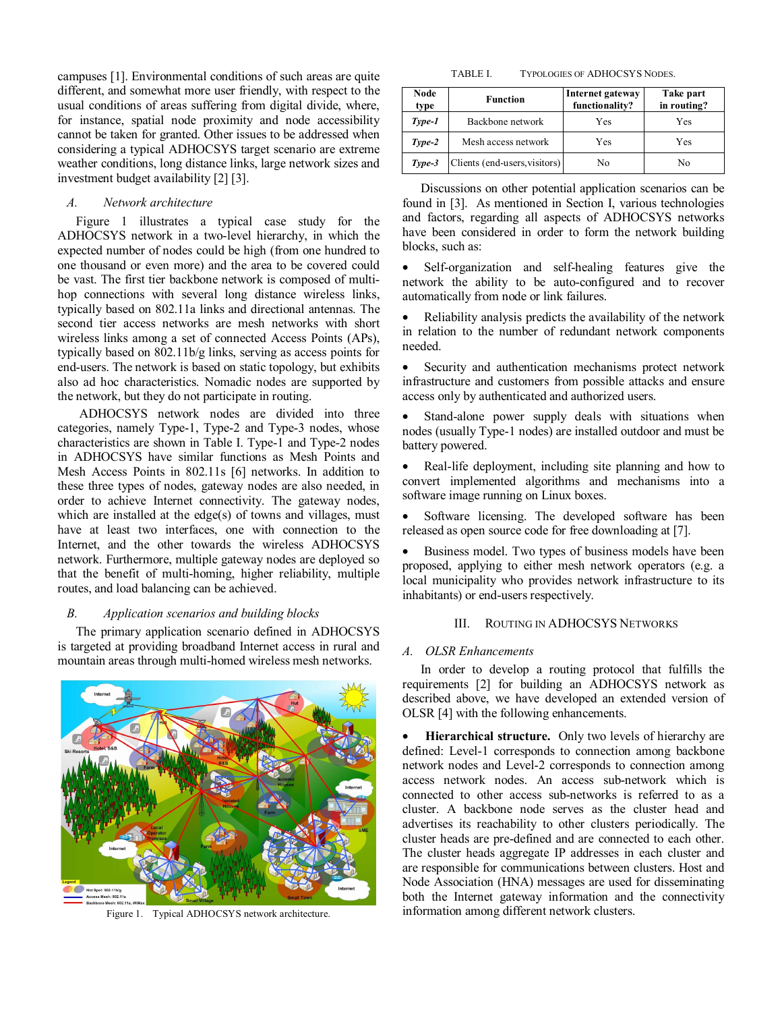campuses [1]. Environmental conditions of such areas are quite different, and somewhat more user friendly, with respect to the usual conditions of areas suffering from digital divide, where, for instance, spatial node proximity and node accessibility cannot be taken for granted. Other issues to be addressed when considering a typical ADHOCSYS target scenario are extreme weather conditions, long distance links, large network sizes and investment budget availability [2] [3].

## *A. Network architecture*

Figure 1 illustrates a typical case study for the ADHOCSYS network in a two-level hierarchy, in which the expected number of nodes could be high (from one hundred to one thousand or even more) and the area to be covered could be vast. The first tier backbone network is composed of multihop connections with several long distance wireless links, typically based on 802.11a links and directional antennas. The second tier access networks are mesh networks with short wireless links among a set of connected Access Points (APs), typically based on 802.11b/g links, serving as access points for end-users. The network is based on static topology, but exhibits also ad hoc characteristics. Nomadic nodes are supported by the network, but they do not participate in routing.

 ADHOCSYS network nodes are divided into three categories, namely Type-1, Type-2 and Type-3 nodes, whose characteristics are shown in Table I. Type-1 and Type-2 nodes in ADHOCSYS have similar functions as Mesh Points and Mesh Access Points in 802.11s [6] networks. In addition to these three types of nodes, gateway nodes are also needed, in order to achieve Internet connectivity. The gateway nodes, which are installed at the edge(s) of towns and villages, must have at least two interfaces, one with connection to the Internet, and the other towards the wireless ADHOCSYS network. Furthermore, multiple gateway nodes are deployed so that the benefit of multi-homing, higher reliability, multiple routes, and load balancing can be achieved.

## *B. Application scenarios and building blocks*

The primary application scenario defined in ADHOCSYS is targeted at providing broadband Internet access in rural and mountain areas through multi-homed wireless mesh networks.



Figure 1. Typical ADHOCSYS network architecture.

TABLE I. TYPOLOGIES OF ADHOCSYS NODES.

| Node<br>type | <b>Function</b>               | Internet gateway<br>functionality? | Take part<br>in routing? |
|--------------|-------------------------------|------------------------------------|--------------------------|
| Type-1       | Backbone network              | Yes                                | Yes                      |
| $Type-2$     | Mesh access network           | Yes                                | Yes                      |
| $Type-3$     | Clients (end-users, visitors) | No                                 | No                       |

Discussions on other potential application scenarios can be found in [3]. As mentioned in Section I, various technologies and factors, regarding all aspects of ADHOCSYS networks have been considered in order to form the network building blocks, such as:

• Self-organization and self-healing features give the network the ability to be auto-configured and to recover automatically from node or link failures.

Reliability analysis predicts the availability of the network in relation to the number of redundant network components needed.

Security and authentication mechanisms protect network infrastructure and customers from possible attacks and ensure access only by authenticated and authorized users.

Stand-alone power supply deals with situations when nodes (usually Type-1 nodes) are installed outdoor and must be battery powered.

Real-life deployment, including site planning and how to convert implemented algorithms and mechanisms into a software image running on Linux boxes.

Software licensing. The developed software has been released as open source code for free downloading at [7].

Business model. Two types of business models have been proposed, applying to either mesh network operators (e.g. a local municipality who provides network infrastructure to its inhabitants) or end-users respectively.

## III. ROUTING IN ADHOCSYS NETWORKS

#### *A. OLSR Enhancements*

In order to develop a routing protocol that fulfills the requirements [2] for building an ADHOCSYS network as described above, we have developed an extended version of OLSR [4] with the following enhancements.

• **Hierarchical structure.** Only two levels of hierarchy are defined: Level-1 corresponds to connection among backbone network nodes and Level-2 corresponds to connection among access network nodes. An access sub-network which is connected to other access sub-networks is referred to as a cluster. A backbone node serves as the cluster head and advertises its reachability to other clusters periodically. The cluster heads are pre-defined and are connected to each other. The cluster heads aggregate IP addresses in each cluster and are responsible for communications between clusters. Host and Node Association (HNA) messages are used for disseminating both the Internet gateway information and the connectivity information among different network clusters.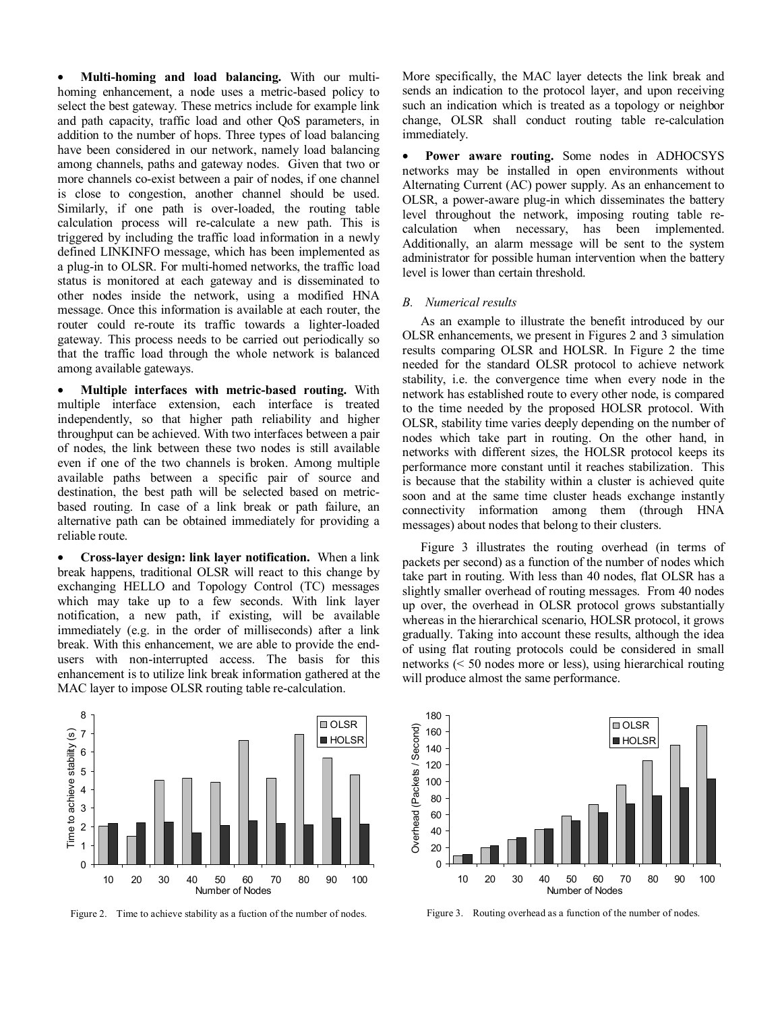• **Multi-homing and load balancing.** With our multihoming enhancement, a node uses a metric-based policy to select the best gateway. These metrics include for example link and path capacity, traffic load and other QoS parameters, in addition to the number of hops. Three types of load balancing have been considered in our network, namely load balancing among channels, paths and gateway nodes. Given that two or more channels co-exist between a pair of nodes, if one channel is close to congestion, another channel should be used. Similarly, if one path is over-loaded, the routing table calculation process will re-calculate a new path. This is triggered by including the traffic load information in a newly defined LINKINFO message, which has been implemented as a plug-in to OLSR. For multi-homed networks, the traffic load status is monitored at each gateway and is disseminated to other nodes inside the network, using a modified HNA message. Once this information is available at each router, the router could re-route its traffic towards a lighter-loaded gateway. This process needs to be carried out periodically so that the traffic load through the whole network is balanced among available gateways.

• **Multiple interfaces with metric-based routing.** With multiple interface extension, each interface is treated independently, so that higher path reliability and higher throughput can be achieved. With two interfaces between a pair of nodes, the link between these two nodes is still available even if one of the two channels is broken. Among multiple available paths between a specific pair of source and destination, the best path will be selected based on metricbased routing. In case of a link break or path failure, an alternative path can be obtained immediately for providing a reliable route.

• **Cross-layer design: link layer notification.** When a link break happens, traditional OLSR will react to this change by exchanging HELLO and Topology Control (TC) messages which may take up to a few seconds. With link layer notification, a new path, if existing, will be available immediately (e.g. in the order of milliseconds) after a link break. With this enhancement, we are able to provide the endusers with non-interrupted access. The basis for this enhancement is to utilize link break information gathered at the MAC layer to impose OLSR routing table re-calculation.



Figure 2. Time to achieve stability as a fuction of the number of nodes.

More specifically, the MAC layer detects the link break and sends an indication to the protocol layer, and upon receiving such an indication which is treated as a topology or neighbor change, OLSR shall conduct routing table re-calculation immediately.

• **Power aware routing.** Some nodes in ADHOCSYS networks may be installed in open environments without Alternating Current (AC) power supply. As an enhancement to OLSR, a power-aware plug-in which disseminates the battery level throughout the network, imposing routing table recalculation when necessary, has been implemented. Additionally, an alarm message will be sent to the system administrator for possible human intervention when the battery level is lower than certain threshold.

## *B. Numerical results*

As an example to illustrate the benefit introduced by our OLSR enhancements, we present in Figures 2 and 3 simulation results comparing OLSR and HOLSR. In Figure 2 the time needed for the standard OLSR protocol to achieve network stability, i.e. the convergence time when every node in the network has established route to every other node, is compared to the time needed by the proposed HOLSR protocol. With OLSR, stability time varies deeply depending on the number of nodes which take part in routing. On the other hand, in networks with different sizes, the HOLSR protocol keeps its performance more constant until it reaches stabilization. This is because that the stability within a cluster is achieved quite soon and at the same time cluster heads exchange instantly connectivity information among them (through HNA messages) about nodes that belong to their clusters.

Figure 3 illustrates the routing overhead (in terms of packets per second) as a function of the number of nodes which take part in routing. With less than 40 nodes, flat OLSR has a slightly smaller overhead of routing messages. From 40 nodes up over, the overhead in OLSR protocol grows substantially whereas in the hierarchical scenario, HOLSR protocol, it grows gradually. Taking into account these results, although the idea of using flat routing protocols could be considered in small networks (< 50 nodes more or less), using hierarchical routing will produce almost the same performance.



Figure 3. Routing overhead as a function of the number of nodes.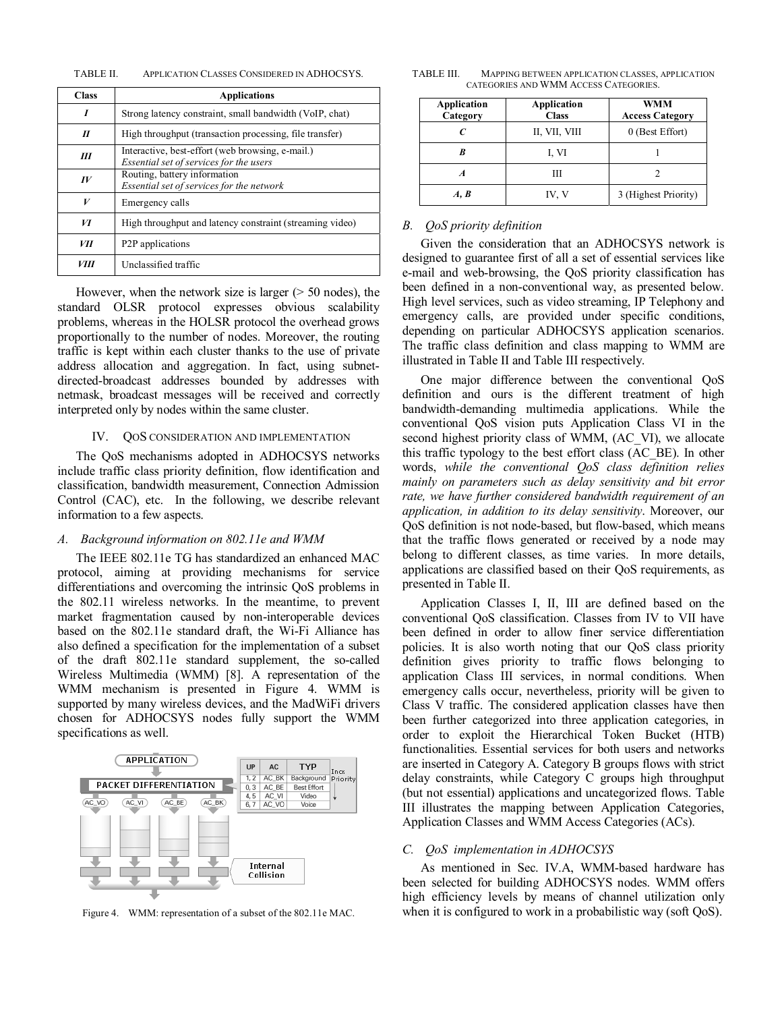TABLE II. APPLICATION CLASSES CONSIDERED IN ADHOCSYS.

| <b>Class</b>               | <b>Applications</b>                                                                         |  |
|----------------------------|---------------------------------------------------------------------------------------------|--|
| I                          | Strong latency constraint, small bandwidth (VoIP, chat)                                     |  |
| $\boldsymbol{\mathit{II}}$ | High throughput (transaction processing, file transfer)                                     |  |
| III                        | Interactive, best-effort (web browsing, e-mail.)<br>Essential set of services for the users |  |
| $I\bar{V}$                 | Routing, battery information<br>Essential set of services for the network                   |  |
| V                          | Emergency calls                                                                             |  |
| И                          | High throughput and latency constraint (streaming video)                                    |  |
| VII                        | P <sub>2</sub> P applications                                                               |  |
| VШ                         | Unclassified traffic                                                                        |  |

However, when the network size is larger  $($  > 50 nodes), the standard OLSR protocol expresses obvious scalability problems, whereas in the HOLSR protocol the overhead grows proportionally to the number of nodes. Moreover, the routing traffic is kept within each cluster thanks to the use of private address allocation and aggregation. In fact, using subnetdirected-broadcast addresses bounded by addresses with netmask, broadcast messages will be received and correctly interpreted only by nodes within the same cluster.

#### IV. QOS CONSIDERATION AND IMPLEMENTATION

The QoS mechanisms adopted in ADHOCSYS networks include traffic class priority definition, flow identification and classification, bandwidth measurement, Connection Admission Control (CAC), etc. In the following, we describe relevant information to a few aspects.

#### *A. Background information on 802.11e and WMM*

The IEEE 802.11e TG has standardized an enhanced MAC protocol, aiming at providing mechanisms for service differentiations and overcoming the intrinsic QoS problems in the 802.11 wireless networks. In the meantime, to prevent market fragmentation caused by non-interoperable devices based on the 802.11e standard draft, the Wi-Fi Alliance has also defined a specification for the implementation of a subset of the draft 802.11e standard supplement, the so-called Wireless Multimedia (WMM) [8]. A representation of the WMM mechanism is presented in Figure 4. WMM is supported by many wireless devices, and the MadWiFi drivers chosen for ADHOCSYS nodes fully support the WMM specifications as well.



Figure 4. WMM: representation of a subset of the 802.11e MAC.

TABLE III. MAPPING BETWEEN APPLICATION CLASSES, APPLICATION CATEGORIES AND WMM ACCESS CATEGORIES.

| <b>Application</b><br>Category | <b>Application</b><br><b>Class</b> | WMM<br><b>Access Category</b> |
|--------------------------------|------------------------------------|-------------------------------|
|                                | II, VII, VIII                      | $0$ (Best Effort)             |
| R                              | I, VI                              |                               |
|                                | Ш                                  |                               |
| A. B                           | IV. V                              | 3 (Highest Priority)          |

### *B. QoS priority definition*

Given the consideration that an ADHOCSYS network is designed to guarantee first of all a set of essential services like e-mail and web-browsing, the QoS priority classification has been defined in a non-conventional way, as presented below. High level services, such as video streaming, IP Telephony and emergency calls, are provided under specific conditions, depending on particular ADHOCSYS application scenarios. The traffic class definition and class mapping to WMM are illustrated in Table II and Table III respectively.

One major difference between the conventional QoS definition and ours is the different treatment of high bandwidth-demanding multimedia applications. While the conventional QoS vision puts Application Class VI in the second highest priority class of WMM, (AC\_VI), we allocate this traffic typology to the best effort class (AC\_BE). In other words, *while the conventional QoS class definition relies mainly on parameters such as delay sensitivity and bit error rate, we have further considered bandwidth requirement of an application, in addition to its delay sensitivity*. Moreover, our QoS definition is not node-based, but flow-based, which means that the traffic flows generated or received by a node may belong to different classes, as time varies. In more details, applications are classified based on their QoS requirements, as presented in Table II.

Application Classes I, II, III are defined based on the conventional QoS classification. Classes from IV to VII have been defined in order to allow finer service differentiation policies. It is also worth noting that our QoS class priority definition gives priority to traffic flows belonging to application Class III services, in normal conditions. When emergency calls occur, nevertheless, priority will be given to Class V traffic. The considered application classes have then been further categorized into three application categories, in order to exploit the Hierarchical Token Bucket (HTB) functionalities. Essential services for both users and networks are inserted in Category A. Category B groups flows with strict delay constraints, while Category C groups high throughput (but not essential) applications and uncategorized flows. Table III illustrates the mapping between Application Categories, Application Classes and WMM Access Categories (ACs).

#### *C. QoS implementation in ADHOCSYS*

As mentioned in Sec. IV.A, WMM-based hardware has been selected for building ADHOCSYS nodes. WMM offers high efficiency levels by means of channel utilization only when it is configured to work in a probabilistic way (soft QoS).